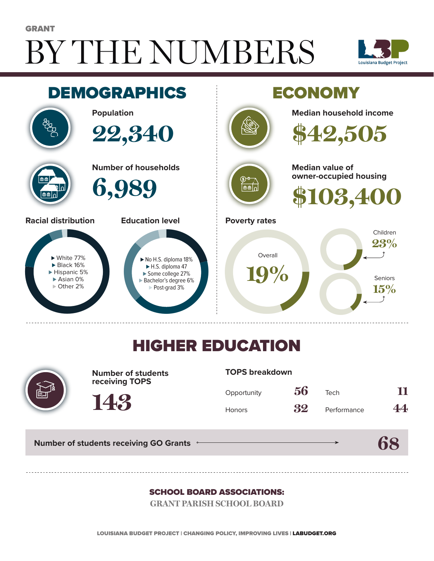# BY THE NUMBERS GRANT





## HIGHER EDUCATION



**Number of students receiving TOPS**

#### **TOPS breakdown**

| Opportunity   | 56 | Tech        | 11 |
|---------------|----|-------------|----|
| <b>Honors</b> | 32 | Performance | 44 |

**Number of students receiving GO Grants**

**143**

## **68**

#### SCHOOL BOARD ASSOCIATIONS:

**GRANT PARISH SCHOOL BOARD**